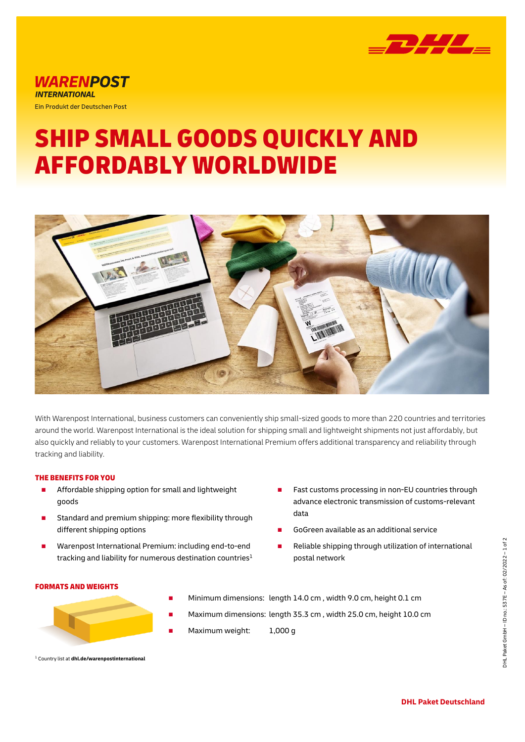

## *WARENPOST* **INTERNATIONAL** Ein Produkt der Deutschen Post

# SHIP SMALL GOODS QUICKLY AND AFFORDABLY WORLDWIDE



With Warenpost International, business customers can conveniently ship small-sized goods to more than 220 countries and territories around the world. Warenpost International is the ideal solution for shipping small and lightweight shipments not just affordably, but also quickly and reliably to your customers. Warenpost International Premium offers additional transparency and reliability through tracking and liability.

## THE BENEFITS FOR YOU

- Affordable shipping option for small and lightweight goods
- Standard and premium shipping: more flexibility through different shipping options
- Warenpost International Premium: including end-to-end tracking and liability for numerous destination countries<sup>1</sup>
- Fast customs processing in non-EU countries through advance electronic transmission of customs-relevant data
- GoGreen available as an additional service
- Reliable shipping through utilization of international postal network

### FORMATS AND WEIGHTS

- 
- Minimum dimensions: length 14.0 cm, width 9.0 cm, height 0.1 cm
- Maximum dimensions: length 35.3 cm, width 25.0 cm, height 10.0 cm
- Maximum weight: 1,000 g
- <sup>1</sup> Country list at **dhl.de/warenpostinternational**